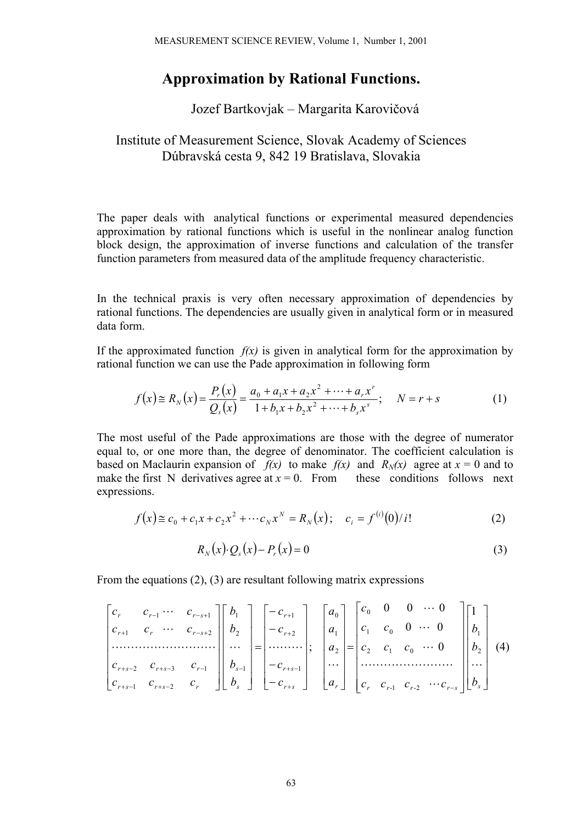## **Approximation by Rational Functions.**

## Jozef Bartkovjak – Margarita Karovičová

## Institute of Measurement Science, Slovak Academy of Sciences Dúbravská cesta 9, 842 19 Bratislava, Slovakia

The paper deals with analytical functions or experimental measured dependencies approximation by rational functions which is useful in the nonlinear analog function block design, the approximation of inverse functions and calculation of the transfer function parameters from measured data of the amplitude frequency characteristic.

In the technical praxis is very often necessary approximation of dependencies by rational functions. The dependencies are usually given in analytical form or in measured data form.

If the approximated function  $f(x)$  is given in analytical form for the approximation by rational function we can use the Pade approximation in following form

$$
f(x) \cong R_N(x) = \frac{P_r(x)}{Q_s(x)} = \frac{a_0 + a_1x + a_2x^2 + \dots + a_rx^r}{1 + b_1x + b_2x^2 + \dots + b_sx^s}; \quad N = r + s
$$
 (1)

The most useful of the Pade approximations are those with the degree of numerator equal to, or one more than, the degree of denominator. The coefficient calculation is based on Maclaurin expansion of  $f(x)$  to make  $f(x)$  and  $R_N(x)$  agree at  $x = 0$  and to make the first N derivatives agree at  $x = 0$ . From these conditions follows next expressions.

$$
f(x) \cong c_0 + c_1 x + c_2 x^2 + \cdots + c_N x^N = R_N(x); \quad c_i = f^{(i)}(0)/i!
$$
 (2)

$$
R_N(x) \cdot Q_s(x) - P_r(x) = 0 \tag{3}
$$

From the equations (2), (3) are resultant following matrix expressions

$$
\begin{bmatrix} c_r & c_{r-1} & \cdots & c_{r-s+1} \\ c_{r+1} & c_r & \cdots & c_{r-s+2} \\ \cdots & \cdots & \cdots & \cdots \\ c_{r+s-2} & c_{r+s-3} & c_{r-1} \\ c_{r+s-1} & c_{r+s-2} & c_r \end{bmatrix} \begin{bmatrix} b_1 \\ b_2 \\ \cdots \\ b_{s-1} \\ \cdots \end{bmatrix} = \begin{bmatrix} -c_{r+1} \\ -c_{r+2} \\ \cdots \\ -c_{r+s-1} \\ \cdots \end{bmatrix}; \quad \begin{bmatrix} a_0 \\ a_1 \\ a_2 \\ \cdots \\ a_r \end{bmatrix} = \begin{bmatrix} c_0 & 0 & 0 & \cdots & 0 \\ c_1 & c_0 & 0 & \cdots & 0 \\ c_2 & c_1 & c_0 & \cdots & 0 \\ \cdots & \cdots & \cdots & \cdots & \cdots \\ c_r & c_{r-1} & c_{r-2} & \cdots & c_{r-s} \end{bmatrix} \begin{bmatrix} 1 \\ b_1 \\ b_2 \\ \cdots \\ b_s \end{bmatrix}
$$
 (4)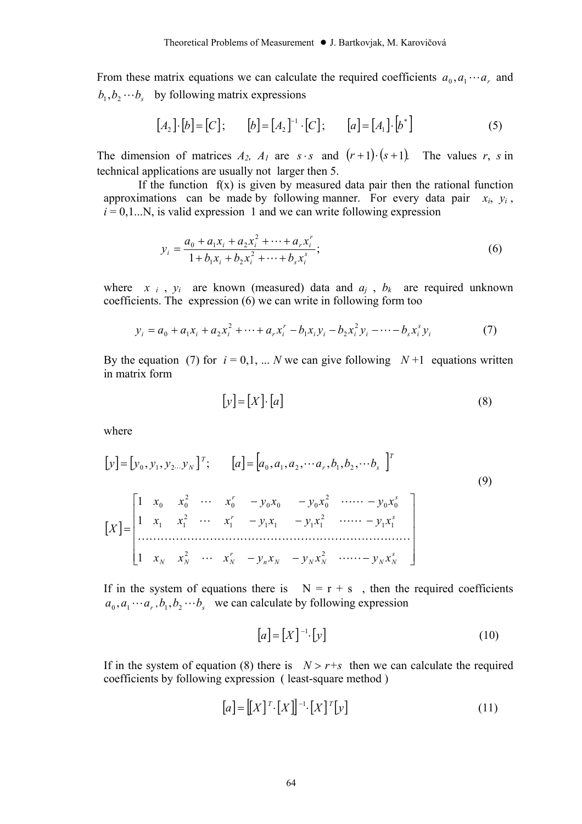From these matrix equations we can calculate the required coefficients  $a_0$ ,  $a_1 \cdots a_r$  and  $b_1, b_2 \cdots b_n$  by following matrix expressions

$$
[A_2] \cdot [b] = [C]; \qquad [b] = [A_2]^{-1} \cdot [C]; \qquad [a] = [A_1] \cdot [b^*]
$$
 (5)

The dimension of matrices  $A_2$ ,  $A_1$  are  $s \cdot s$  and  $(r+1) \cdot (s+1)$ . The values *r*, *s* in technical applications are usually not larger then 5.

If the function  $f(x)$  is given by measured data pair then the rational function approximations can be made by following manner. For every data pair  $x_i$ ,  $y_i$ ,  $i = 0, 1...N$ , is valid expression 1 and we can write following expression

$$
y_i = \frac{a_0 + a_1 x_i + a_2 x_i^2 + \dots + a_r x_i^r}{1 + b_1 x_i + b_2 x_i^2 + \dots + b_s x_i^s};
$$
\n<sup>(6)</sup>

where  $x_i$ ,  $y_i$  are known (measured) data and  $a_j$ ,  $b_k$  are required unknown coefficients. The expression (6) we can write in following form too

$$
y_i = a_0 + a_1 x_i + a_2 x_i^2 + \dots + a_r x_i^r - b_1 x_i y_i - b_2 x_i^2 y_i - \dots - b_s x_i^s y_i
$$
 (7)

By the equation (7) for  $i = 0, 1, \dots N$  we can give following  $N+1$  equations written in matrix form

$$
[y] = [X] \cdot [a] \tag{8}
$$

where

$$
[y] = [y_0, y_1, y_2 \dots y_N]^T; \qquad [a] = [a_0, a_1, a_2, \dots a_r, b_1, b_2, \dots b_s]^T
$$
  
\n
$$
[X] = \begin{bmatrix} 1 & x_0 & x_0^2 & \dots & x_0^r & -y_0x_0 & -y_0x_0^2 & \dots & -y_0x_0^s \\ 1 & x_1 & x_1^2 & \dots & x_1^r & -y_1x_1 & -y_1x_1^2 & \dots & -y_1x_1^s \\ \dots & \dots & \dots & \dots & \dots & \dots & \dots & \dots \\ 1 & x_N & x_N^2 & \dots & x_N^r & -y_nx_N & -y_Nx_N^2 & \dots & -y_Nx_N^s \end{bmatrix}
$$
  
\n(9)

If in the system of equations there is  $N = r + s$ , then the required coefficients  $a_0$ ,  $a_1 \cdots a_r$ ,  $b_1$ ,  $b_2 \cdots b_s$  we can calculate by following expression

$$
[a] = [X]^{-1} \cdot [y] \tag{10}
$$

If in the system of equation (8) there is  $N > r+s$  then we can calculate the required coefficients by following expression ( least-square method )

$$
[a] = [[X]^{T} \cdot [X]]^{-1} \cdot [X]^{T} [y]
$$
\n
$$
(11)
$$